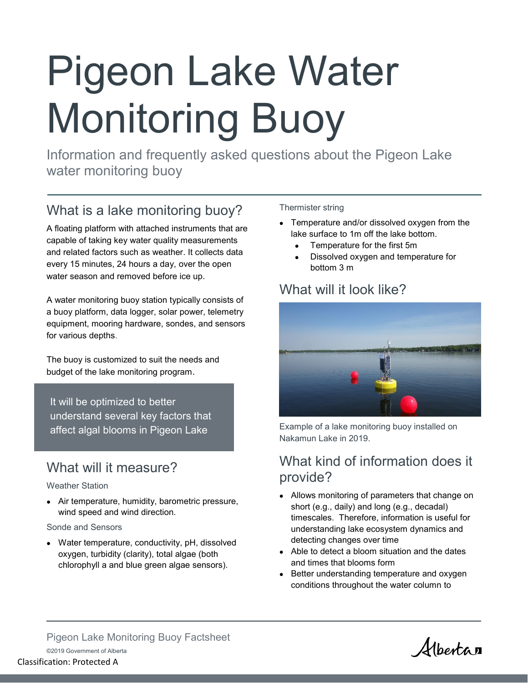# Pigeon Lake Water Monitoring Buoy

Information and frequently asked questions about the Pigeon Lake water monitoring buoy

## What is a lake monitoring buoy?

A floating platform with attached instruments that are capable of taking key water quality measurements and related factors such as weather. It collects data every 15 minutes, 24 hours a day, over the open water season and removed before ice up.

A water monitoring buoy station typically consists of a buoy platform, data logger, solar power, telemetry equipment, mooring hardware, sondes, and sensors for various depths.

The buoy is customized to suit the needs and budget of the lake monitoring program.

It will be optimized to better understand several key factors that affect algal blooms in Pigeon Lake

## What will it measure?

#### Weather Station

• Air temperature, humidity, barometric pressure, wind speed and wind direction.

#### Sonde and Sensors

• Water temperature, conductivity, pH, dissolved oxygen, turbidity (clarity), total algae (both chlorophyll a and blue green algae sensors).

#### Thermister string

- Temperature and/or dissolved oxygen from the lake surface to 1m off the lake bottom.
	- Temperature for the first 5m
	- Dissolved oxygen and temperature for bottom 3 m

### What will it look like?



Example of a lake monitoring buoy installed on Nakamun Lake in 2019.

## What kind of information does it provide?

- Allows monitoring of parameters that change on short (e.g., daily) and long (e.g., decadal) timescales. Therefore, information is useful for understanding lake ecosystem dynamics and detecting changes over time
- Able to detect a bloom situation and the dates and times that blooms form
- Better understanding temperature and oxygen conditions throughout the water column to

Albertan